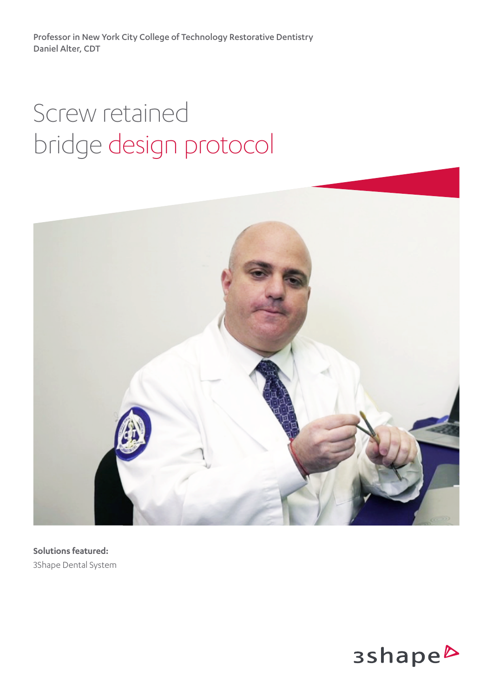Professor in New York City College of Technology Restorative Dentistry Daniel Alter, CDT

# Screw retained bridge design protocol



**Solutions featured:** 3Shape Dental System

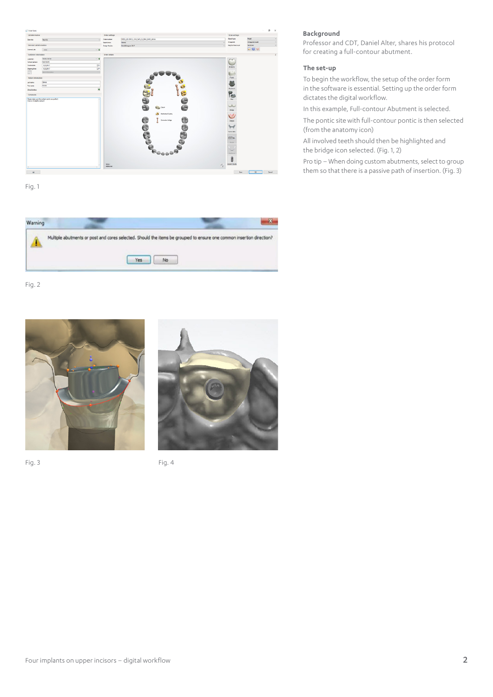

Fig. 1



Fig. 2





Fig. 3 **Fig. 3** 

### **Background**

Professor and CDT, Daniel Alter, shares his protocol for creating a full-contour abutment.

#### **The set-up**

To begin the workflow, the setup of the order form in the software is essential. Setting up the order form dictates the digital workflow.

In this example, Full-contour Abutment is selected.

The pontic site with full-contour pontic is then selected (from the anatomy icon)

All involved teeth should then be highlighted and the bridge icon selected. (Fig. 1, 2)

Pro tip – When doing custom abutments, select to group them so that there is a passive path of insertion. (Fig. 3)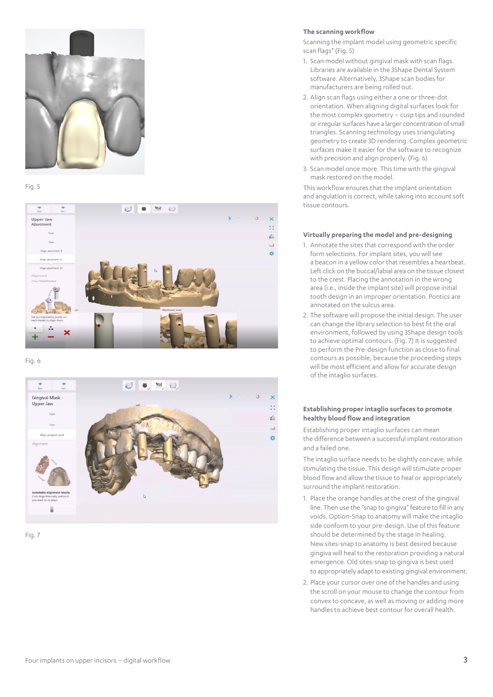

#### Fig. 5



Fig. 6





#### **The scanning workflow**

Scanning the implant model using geometric specific scan flags\* (Fig. 5)

- 1. Scan model without gingival mask with scan flags. Libraries are available in the 3Shape Dental System software. Alternatively, 3Shape scan bodies for manufacturers are being rolled out.
- 2. Align scan flags using either a one or three-dot orientation. When aligning digital surfaces look for the most complex geometry – cusp tips and rounded or irregular surfaces have a larger concentration of small triangles. Scanning technology uses triangulating geometry to create 3D rendering. Complex geometric surfaces make it easier for the software to recognize with precision and align properly. (Fig. 6)
- 3. Scan model once more. This time with the gingival mask restored on the model.

This workflow ensures that the implant orientation and angulation is correct, while taking into account soft tissue contours.

#### **Virtually preparing the model and pre-designing**

- 1. Annotate the sites that correspond with the order form selections. For implant sites, you will see a beacon in a yellow color that resembles a heartbeat. Left click on the buccal/labial area on the tissue closest to the crest. Placing the annotation in the wrong area (i.e., inside the implant site) will propose initial tooth design in an improper orientation. Pontics are annotated on the sulcus area.
- 2. The software will propose the initial design. The user can change the library selection to best fit the oral environment, followed by using 3Shape design tools to achieve optimal contours. (Fig. 7) It is suggested to perform the Pre-design function as close to final contours as possible, because the proceeding steps will be most efficient and allow for accurate design of the intaglio surfaces.

#### **Establishing proper intaglio surfaces to promote healthy blood flow and integration**

Establishing proper intaglio surfaces can mean the difference between a successful implant restoration and a failed one.

The intaglio surface needs to be slightly concave, while stimulating the tissue. This design will stimulate proper blood flow and allow the tissue to heal or appropriately surround the implant restoration.

- 1. Place the orange handles at the crest of the gingival line. Then use the "snap to gingiva" feature to fill in any voids. Option-Snap to anatomy will make the intaglio side conform to your pre-design. Use of this feature should be determined by the stage in healing. New sites-snap to anatomy is best desired because gingiva will heal to the restoration providing a natural emergence. Old sites-snap to gingiva is best used to appropriately adapt to existing gingival environment.
- 2. Place your cursor over one of the handles and using the scroll on your mouse to change the contour from convex to concave, as well as moving or adding more handles to achieve best contour for overall health.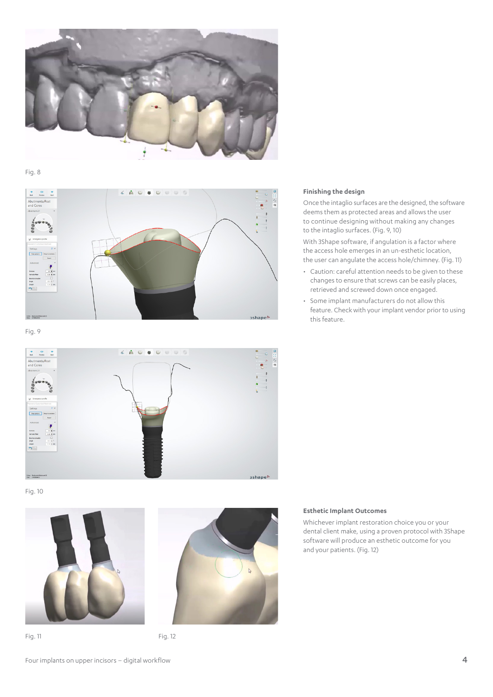

Fig. 8



Fig. 9



Fig. 10





Fig. 11 Fig. 12

## **Finishing the design**

Once the intaglio surfaces are the designed, the software deems them as protected areas and allows the user to continue designing without making any changes to the intaglio surfaces. (Fig. 9, 10)

With 3Shape software, if angulation is a factor where the access hole emerges in an un-esthetic location, the user can angulate the access hole/chimney. (Fig. 11)

- Caution: careful attention needs to be given to these changes to ensure that screws can be easily places, retrieved and screwed down once engaged.
- Some implant manufacturers do not allow this feature. Check with your implant vendor prior to using this feature.

### **Esthetic Implant Outcomes**

Whichever implant restoration choice you or your dental client make, using a proven protocol with 3Shape software will produce an esthetic outcome for you and your patients. (Fig. 12)